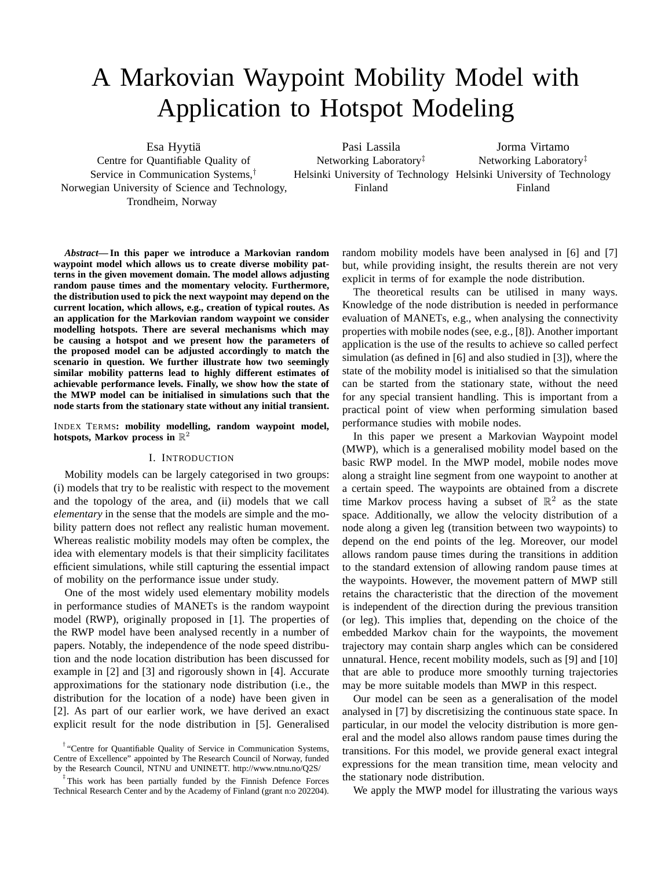# A Markovian Waypoint Mobility Model with Application to Hotspot Modeling

Esa Hyytiä

Centre for Quantifiable Quality of Service in Communication Systems,† Norwegian University of Science and Technology, Trondheim, Norway

Pasi Lassila Networking Laboratory‡ Helsinki University of Technology Helsinki University of Technology Finland Jorma Virtamo Networking Laboratory‡ Finland

*Abstract***— In this paper we introduce a Markovian random waypoint model which allows us to create diverse mobility patterns in the given movement domain. The model allows adjusting random pause times and the momentary velocity. Furthermore, the distribution used to pick the next waypoint may depend on the current location, which allows, e.g., creation of typical routes. As an application for the Markovian random waypoint we consider modelling hotspots. There are several mechanisms which may be causing a hotspot and we present how the parameters of the proposed model can be adjusted accordingly to match the scenario in question. We further illustrate how two seemingly similar mobility patterns lead to highly different estimates of achievable performance levels. Finally, we show how the state of the MWP model can be initialised in simulations such that the node starts from the stationary state without any initial transient.**

INDEX TERMS**: mobility modelling, random waypoint model, hotspots, Markov process in**  $\mathbb{R}^2$ 

## I. INTRODUCTION

Mobility models can be largely categorised in two groups: (i) models that try to be realistic with respect to the movement and the topology of the area, and (ii) models that we call *elementary* in the sense that the models are simple and the mobility pattern does not reflect any realistic human movement. Whereas realistic mobility models may often be complex, the idea with elementary models is that their simplicity facilitates efficient simulations, while still capturing the essential impact of mobility on the performance issue under study.

One of the most widely used elementary mobility models in performance studies of MANETs is the random waypoint model (RWP), originally proposed in [1]. The properties of the RWP model have been analysed recently in a number of papers. Notably, the independence of the node speed distribution and the node location distribution has been discussed for example in [2] and [3] and rigorously shown in [4]. Accurate approximations for the stationary node distribution (i.e., the distribution for the location of a node) have been given in [2]. As part of our earlier work, we have derived an exact explicit result for the node distribution in [5]. Generalised

random mobility models have been analysed in [6] and [7] but, while providing insight, the results therein are not very explicit in terms of for example the node distribution.

The theoretical results can be utilised in many ways. Knowledge of the node distribution is needed in performance evaluation of MANETs, e.g., when analysing the connectivity properties with mobile nodes (see, e.g., [8]). Another important application is the use of the results to achieve so called perfect simulation (as defined in [6] and also studied in [3]), where the state of the mobility model is initialised so that the simulation can be started from the stationary state, without the need for any special transient handling. This is important from a practical point of view when performing simulation based performance studies with mobile nodes.

In this paper we present a Markovian Waypoint model (MWP), which is a generalised mobility model based on the basic RWP model. In the MWP model, mobile nodes move along a straight line segment from one waypoint to another at a certain speed. The waypoints are obtained from a discrete time Markov process having a subset of  $\mathbb{R}^2$  as the state space. Additionally, we allow the velocity distribution of a node along a given leg (transition between two waypoints) to depend on the end points of the leg. Moreover, our model allows random pause times during the transitions in addition to the standard extension of allowing random pause times at the waypoints. However, the movement pattern of MWP still retains the characteristic that the direction of the movement is independent of the direction during the previous transition (or leg). This implies that, depending on the choice of the embedded Markov chain for the waypoints, the movement trajectory may contain sharp angles which can be considered unnatural. Hence, recent mobility models, such as [9] and [10] that are able to produce more smoothly turning trajectories may be more suitable models than MWP in this respect.

Our model can be seen as a generalisation of the model analysed in [7] by discretisizing the continuous state space. In particular, in our model the velocity distribution is more general and the model also allows random pause times during the transitions. For this model, we provide general exact integral expressions for the mean transition time, mean velocity and the stationary node distribution.

We apply the MWP model for illustrating the various ways

<sup>&</sup>lt;sup>T</sup> "Centre for Quantifiable Quality of Service in Communication Systems, Centre of Excellence" appointed by The Research Council of Norway, funded by the Research Council, NTNU and UNINETT. http://www.ntnu.no/Q2S/

<sup>‡</sup> This work has been partially funded by the Finnish Defence Forces Technical Research Center and by the Academy of Finland (grant n:o 202204).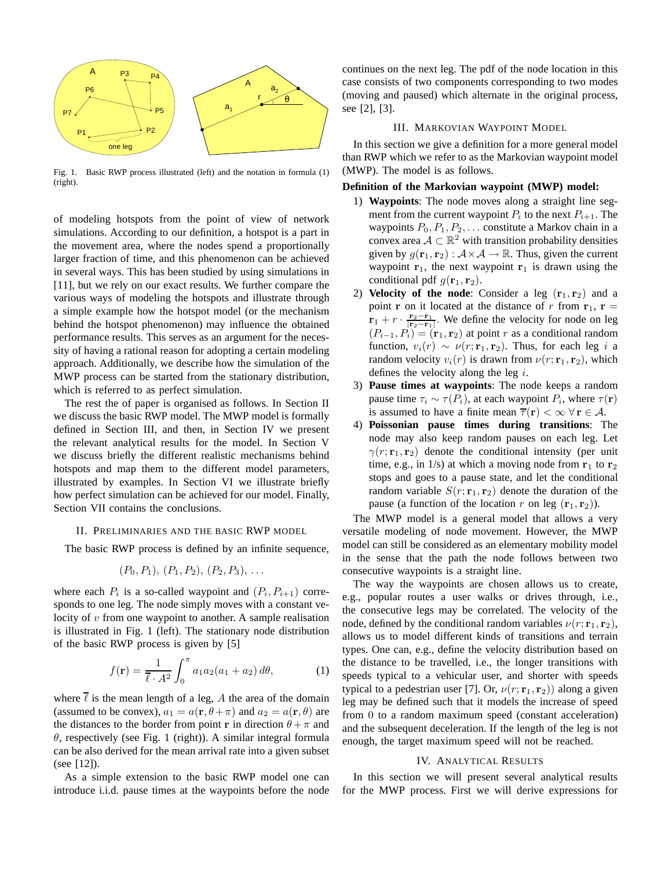

Fig. 1. Basic RWP process illustrated (left) and the notation in formula (1) (right).

of modeling hotspots from the point of view of network simulations. According to our definition, a hotspot is a part in the movement area, where the nodes spend a proportionally larger fraction of time, and this phenomenon can be achieved in several ways. This has been studied by using simulations in [11], but we rely on our exact results. We further compare the various ways of modeling the hotspots and illustrate through a simple example how the hotspot model (or the mechanism behind the hotspot phenomenon) may influence the obtained performance results. This serves as an argument for the necessity of having a rational reason for adopting a certain modeling approach. Additionally, we describe how the simulation of the MWP process can be started from the stationary distribution, which is referred to as perfect simulation.

The rest the of paper is organised as follows. In Section II we discuss the basic RWP model. The MWP model is formally defined in Section III, and then, in Section IV we present the relevant analytical results for the model. In Section V we discuss briefly the different realistic mechanisms behind hotspots and map them to the different model parameters, illustrated by examples. In Section VI we illustrate briefly how perfect simulation can be achieved for our model. Finally, Section VII contains the conclusions.

## II. PRELIMINARIES AND THE BASIC RWP MODEL

The basic RWP process is defined by an infinite sequence,

$$
(P_0, P_1), (P_1, P_2), (P_2, P_3), \ldots
$$

where each  $P_i$  is a so-called waypoint and  $(P_i, P_{i+1})$  corresponds to one leg. The node simply moves with a constant velocity of  $v$  from one waypoint to another. A sample realisation is illustrated in Fig. 1 (left). The stationary node distribution of the basic RWP process is given by [5]

$$
f(\mathbf{r}) = \frac{1}{\overline{\ell} \cdot A^2} \int_0^{\pi} a_1 a_2 (a_1 + a_2) d\theta, \tag{1}
$$

where  $\overline{\ell}$  is the mean length of a leg, A the area of the domain (assumed to be convex),  $a_1 = a(\mathbf{r}, \theta + \pi)$  and  $a_2 = a(\mathbf{r}, \theta)$  are the distances to the border from point **r** in direction  $\theta + \pi$  and  $\theta$ , respectively (see Fig. 1 (right)). A similar integral formula can be also derived for the mean arrival rate into a given subset (see [12]).

As a simple extension to the basic RWP model one can introduce i.i.d. pause times at the waypoints before the node continues on the next leg. The pdf of the node location in this case consists of two components corresponding to two modes (moving and paused) which alternate in the original process, see [2], [3].

## III. MARKOVIAN WAYPOINT MODEL

In this section we give a definition for a more general model than RWP which we refer to as the Markovian waypoint model (MWP). The model is as follows.

## **Definition of the Markovian waypoint (MWP) model:**

- 1) **Waypoints**: The node moves along a straight line segment from the current waypoint  $P_i$  to the next  $P_{i+1}$ . The waypoints  $P_0, P_1, P_2, \ldots$  constitute a Markov chain in a convex area  $A \subset \mathbb{R}^2$  with transition probability densities given by  $g(\mathbf{r}_1, \mathbf{r}_2) : \mathcal{A} \times \mathcal{A} \to \mathbb{R}$ . Thus, given the current waypoint  $r_1$ , the next waypoint  $r_1$  is drawn using the conditional pdf  $g(\mathbf{r}_1, \mathbf{r}_2)$ .
- 2) **Velocity of the node**: Consider a leg  $(\mathbf{r}_1, \mathbf{r}_2)$  and a point **r** on it located at the distance of r from  $\mathbf{r}_1$ ,  $\mathbf{r} =$  $\mathbf{r}_1 + r \cdot \frac{\mathbf{r}_2 - \mathbf{r}_1}{|\mathbf{r}_2 - \mathbf{r}_1|}$ . We define the velocity for node on leg  $(P_{i-1}, P_i) = (\mathbf{r}_1, \mathbf{r}_2)$  at point r as a conditional random function,  $v_i(r) \sim \nu(r; \mathbf{r}_1, \mathbf{r}_2)$ . Thus, for each leg i a random velocity  $v_i(r)$  is drawn from  $v(r; \mathbf{r}_1, \mathbf{r}_2)$ , which defines the velocity along the leg  $i$ .
- 3) **Pause times at waypoints**: The node keeps a random pause time  $\tau_i \sim \tau(P_i)$ , at each waypoint  $P_i$ , where  $\tau(\mathbf{r})$ is assumed to have a finite mean  $\overline{\tau}(\mathbf{r}) < \infty$   $\forall \mathbf{r} \in \mathcal{A}$ .
- 4) **Poissonian pause times during transitions**: The node may also keep random pauses on each leg. Let  $\gamma(r; \mathbf{r}_1, \mathbf{r}_2)$  denote the conditional intensity (per unit time, e.g., in  $1/s$ ) at which a moving node from  $r_1$  to  $r_2$ stops and goes to a pause state, and let the conditional random variable  $S(r; \mathbf{r}_1, \mathbf{r}_2)$  denote the duration of the pause (a function of the location r on leg  $(\mathbf{r}_1, \mathbf{r}_2)$ ).

The MWP model is a general model that allows a very versatile modeling of node movement. However, the MWP model can still be considered as an elementary mobility model in the sense that the path the node follows between two consecutive waypoints is a straight line.

The way the waypoints are chosen allows us to create, e.g., popular routes a user walks or drives through, i.e., the consecutive legs may be correlated. The velocity of the node, defined by the conditional random variables  $\nu(r; \mathbf{r}_1, \mathbf{r}_2)$ , allows us to model different kinds of transitions and terrain types. One can, e.g., define the velocity distribution based on the distance to be travelled, i.e., the longer transitions with speeds typical to a vehicular user, and shorter with speeds typical to a pedestrian user [7]. Or,  $\nu(r; \mathbf{r}_1, \mathbf{r}_2)$ ) along a given leg may be defined such that it models the increase of speed from 0 to a random maximum speed (constant acceleration) and the subsequent deceleration. If the length of the leg is not enough, the target maximum speed will not be reached.

### IV. ANALYTICAL RESULTS

In this section we will present several analytical results for the MWP process. First we will derive expressions for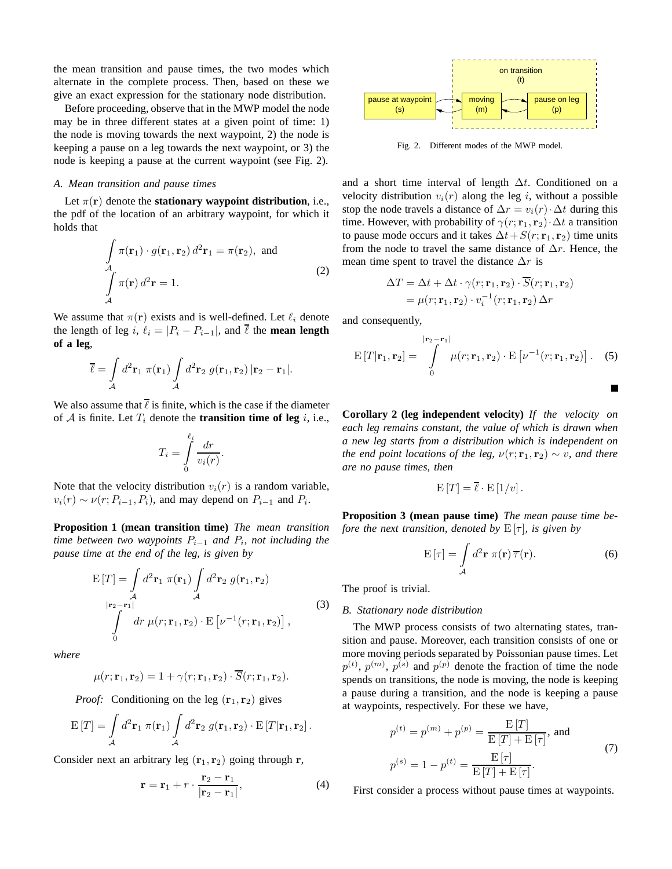the mean transition and pause times, the two modes which alternate in the complete process. Then, based on these we give an exact expression for the stationary node distribution.

Before proceeding, observe that in the MWP model the node may be in three different states at a given point of time: 1) the node is moving towards the next waypoint, 2) the node is keeping a pause on a leg towards the next waypoint, or 3) the node is keeping a pause at the current waypoint (see Fig. 2).

# *A. Mean transition and pause times*

Let  $\pi(\mathbf{r})$  denote the **stationary waypoint distribution**, i.e., the pdf of the location of an arbitrary waypoint, for which it holds that

$$
\int_{\mathcal{A}} \pi(\mathbf{r}_1) \cdot g(\mathbf{r}_1, \mathbf{r}_2) d^2 \mathbf{r}_1 = \pi(\mathbf{r}_2), \text{ and}
$$
\n
$$
\int_{\mathcal{A}} \pi(\mathbf{r}) d^2 \mathbf{r} = 1.
$$
\n(2)

We assume that  $\pi(\mathbf{r})$  exists and is well-defined. Let  $\ell_i$  denote the length of leg i,  $\ell_i = |P_i - P_{i-1}|$ , and  $\bar{\ell}$  the **mean length of a leg**,

$$
\overline{\ell} = \int_{\mathcal{A}} d^2 \mathbf{r}_1 \ \pi(\mathbf{r}_1) \int_{\mathcal{A}} d^2 \mathbf{r}_2 \ g(\mathbf{r}_1, \mathbf{r}_2) \ |\mathbf{r}_2 - \mathbf{r}_1|.
$$

We also assume that  $\overline{\ell}$  is finite, which is the case if the diameter of  $A$  is finite. Let  $T_i$  denote the **transition time of leg** i, i.e.,

$$
T_i = \int\limits_0^{\ell_i} \frac{dr}{v_i(r)}
$$

.

Note that the velocity distribution  $v_i(r)$  is a random variable,  $v_i(r) \sim \nu(r; P_{i-1}, P_i)$ , and may depend on  $P_{i-1}$  and  $P_i$ .

**Proposition 1 (mean transition time)** *The mean transition time between two waypoints*  $P_{i-1}$  *and*  $P_i$ *, not including the pause time at the end of the leg, is given by*

$$
\mathbf{E}[T] = \int_{\mathcal{A}} d^2 \mathbf{r}_1 \ \pi(\mathbf{r}_1) \int_{\mathcal{A}} d^2 \mathbf{r}_2 \ g(\mathbf{r}_1, \mathbf{r}_2)
$$
\n
$$
\int_{0}^{|\mathbf{r}_2 - \mathbf{r}_1|} dr \ \mu(r; \mathbf{r}_1, \mathbf{r}_2) \cdot \mathbf{E} \left[ \nu^{-1}(r; \mathbf{r}_1, \mathbf{r}_2) \right],
$$
\n(3)

*where*

$$
\mu(r; \mathbf{r}_1, \mathbf{r}_2) = 1 + \gamma(r; \mathbf{r}_1, \mathbf{r}_2) \cdot \overline{S}(r; \mathbf{r}_1, \mathbf{r}_2).
$$

*Proof:* Conditioning on the leg  $(\mathbf{r}_1, \mathbf{r}_2)$  gives

$$
\mathbf{E}[T] = \int_{\mathcal{A}} d^2 \mathbf{r}_1 \ \pi(\mathbf{r}_1) \int_{\mathcal{A}} d^2 \mathbf{r}_2 \ g(\mathbf{r}_1, \mathbf{r}_2) \cdot \mathbf{E}[T | \mathbf{r}_1, \mathbf{r}_2].
$$

Consider next an arbitrary leg  $(\mathbf{r}_1, \mathbf{r}_2)$  going through **r**,

$$
\mathbf{r} = \mathbf{r}_1 + r \cdot \frac{\mathbf{r}_2 - \mathbf{r}_1}{|\mathbf{r}_2 - \mathbf{r}_1|},\tag{4}
$$



Fig. 2. Different modes of the MWP model.

and a short time interval of length  $\Delta t$ . Conditioned on a velocity distribution  $v_i(r)$  along the leg i, without a possible stop the node travels a distance of  $\Delta r = v_i(r) \cdot \Delta t$  during this time. However, with probability of  $\gamma(r; \mathbf{r}_1, \mathbf{r}_2) \cdot \Delta t$  a transition to pause mode occurs and it takes  $\Delta t + S(r; \mathbf{r}_1, \mathbf{r}_2)$  time units from the node to travel the same distance of  $\Delta r$ . Hence, the mean time spent to travel the distance  $\Delta r$  is

$$
\Delta T = \Delta t + \Delta t \cdot \gamma(r; \mathbf{r}_1, \mathbf{r}_2) \cdot \overline{S}(r; \mathbf{r}_1, \mathbf{r}_2)
$$
  
=  $\mu(r; \mathbf{r}_1, \mathbf{r}_2) \cdot v_i^{-1}(r; \mathbf{r}_1, \mathbf{r}_2) \Delta r$ 

and consequently,

$$
\mathbf{E}\left[T|\mathbf{r}_1,\mathbf{r}_2\right] = \int\limits_0^{|\mathbf{r}_2-\mathbf{r}_1|} \mu(r;\mathbf{r}_1,\mathbf{r}_2) \cdot \mathbf{E}\left[\nu^{-1}(r;\mathbf{r}_1,\mathbf{r}_2)\right]. \quad (5)
$$

**Corollary 2 (leg independent velocity)** *If the velocity on each leg remains constant, the value of which is drawn when a new leg starts from a distribution which is independent on the end point locations of the leg,*  $\nu(r; \mathbf{r}_1, \mathbf{r}_2) \sim v$ *, and there are no pause times, then*

$$
E[T] = \overline{\ell} \cdot E[1/v].
$$

**Proposition 3 (mean pause time)** *The mean pause time before the next transition, denoted by* E [τ]*, is given by*

$$
E[\tau] = \int_{\mathcal{A}} d^2 \mathbf{r} \,\pi(\mathbf{r}) \,\overline{\tau}(\mathbf{r}).
$$
 (6)

The proof is trivial.

# *B. Stationary node distribution*

The MWP process consists of two alternating states, transition and pause. Moreover, each transition consists of one or more moving periods separated by Poissonian pause times. Let  $p^{(t)}$ ,  $p^{(m)}$ ,  $p^{(s)}$  and  $p^{(p)}$  denote the fraction of time the node spends on transitions, the node is moving, the node is keeping a pause during a transition, and the node is keeping a pause at waypoints, respectively. For these we have,

$$
p^{(t)} = p^{(m)} + p^{(p)} = \frac{\mathbb{E}[T]}{\mathbb{E}[T] + \mathbb{E}[\tau]}, \text{ and}
$$
  

$$
p^{(s)} = 1 - p^{(t)} = \frac{\mathbb{E}[\tau]}{\mathbb{E}[T] + \mathbb{E}[\tau]}.
$$
 (7)

First consider a process without pause times at waypoints.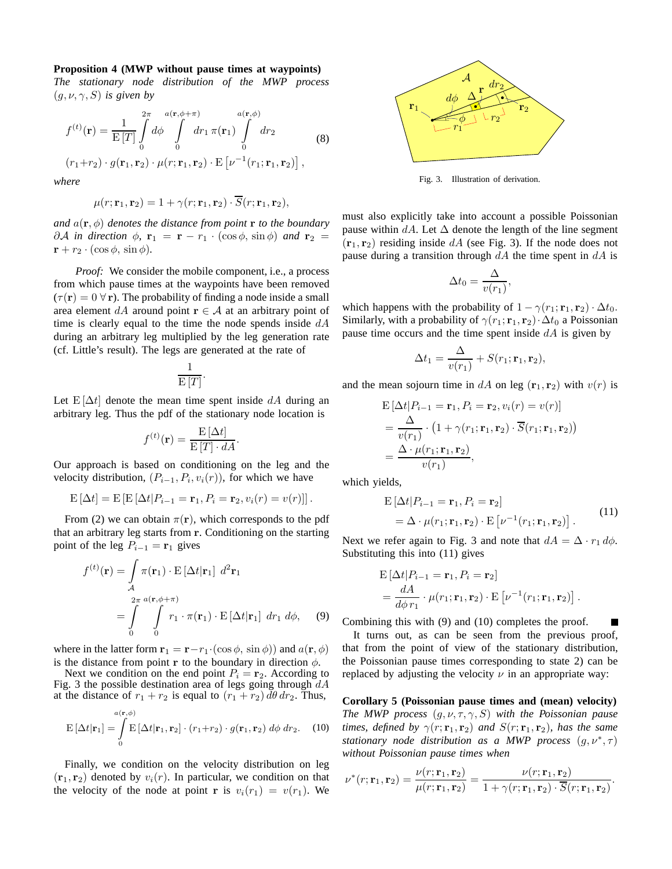#### **Proposition 4 (MWP without pause times at waypoints)**

*The stationary node distribution of the MWP process*  $(g, \nu, \gamma, S)$  *is given by* 

$$
f^{(t)}(\mathbf{r}) = \frac{1}{\mathrm{E}[T]} \int_{0}^{2\pi} d\phi \int_{0}^{a(\mathbf{r}, \phi + \pi)} dr_1 \pi(\mathbf{r}_1) \int_{0}^{a(\mathbf{r}, \phi)} dr_2
$$
  
\n
$$
(r_1 + r_2) \cdot g(\mathbf{r}_1, \mathbf{r}_2) \cdot \mu(r; \mathbf{r}_1, \mathbf{r}_2) \cdot \mathrm{E}\left[\nu^{-1}(r_1; \mathbf{r}_1, \mathbf{r}_2)\right],
$$
\n(8)

*where*

$$
\mu(r; \mathbf{r}_1, \mathbf{r}_2) = 1 + \gamma(r; \mathbf{r}_1, \mathbf{r}_2) \cdot \overline{S}(r; \mathbf{r}_1, \mathbf{r}_2),
$$

*and*  $a(\mathbf{r}, \phi)$  *denotes the distance from point* **r** *to the boundary*  $\partial A$  *in direction*  $\phi$ ,  $\mathbf{r}_1 = \mathbf{r} - r_1 \cdot (\cos \phi, \sin \phi)$  *and*  $\mathbf{r}_2 =$  $\mathbf{r} + r_2 \cdot (\cos \phi, \sin \phi)$ .

*Proof:* We consider the mobile component, i.e., a process from which pause times at the waypoints have been removed  $(\tau(\mathbf{r})=0 \,\forall \mathbf{r})$ . The probability of finding a node inside a small area element dA around point **r**  $\in$  A at an arbitrary point of time is clearly equal to the time the node spends inside  $dA$ during an arbitrary leg multiplied by the leg generation rate (cf. Little's result). The legs are generated at the rate of

$$
\frac{1}{\mathbf{E}[T]}.
$$

Let  $E[\Delta t]$  denote the mean time spent inside dA during an arbitrary leg. Thus the pdf of the stationary node location is

$$
f^{(t)}(\mathbf{r}) = \frac{\mathrm{E}[\Delta t]}{\mathrm{E}[T] \cdot dA}.
$$

Our approach is based on conditioning on the leg and the velocity distribution,  $(P_{i-1}, P_i, v_i(r))$ , for which we have

$$
\mathbf{E}\left[\Delta t\right] = \mathbf{E}\left[\mathbf{E}\left[\Delta t|P_{i-1}=\mathbf{r}_1, P_i=\mathbf{r}_2, v_i(r)=v(r)\right]\right].
$$

From (2) we can obtain  $\pi(\mathbf{r})$ , which corresponds to the pdf that an arbitrary leg starts from **r**. Conditioning on the starting point of the leg  $P_{i-1} = \mathbf{r}_1$  gives

$$
f^{(t)}(\mathbf{r}) = \int_{\mathcal{A}} \pi(\mathbf{r}_1) \cdot \mathbf{E} \left[\Delta t | \mathbf{r}_1\right] d^2 \mathbf{r}_1
$$
  
= 
$$
\int_{0}^{2\pi} \int_{0}^{a(\mathbf{r}, \phi + \pi)} r_1 \cdot \pi(\mathbf{r}_1) \cdot \mathbf{E} \left[\Delta t | \mathbf{r}_1\right] dr_1 d\phi, \quad (9)
$$

where in the latter form  $\mathbf{r}_1 = \mathbf{r} - r_1 \cdot (\cos \phi, \sin \phi)$  and  $a(\mathbf{r}, \phi)$ is the distance from point **r** to the boundary in direction  $\phi$ .

Next we condition on the end point  $P_i = \mathbf{r}_2$ . According to Fig. 3 the possible destination area of legs going through  $dA$ at the distance of  $r_1 + r_2$  is equal to  $(r_1 + r_2) d\theta dr_2$ . Thus,

$$
\mathbf{E}\left[\Delta t|\mathbf{r}_1\right] = \int\limits_0^{a(\mathbf{r},\phi)} \mathbf{E}\left[\Delta t|\mathbf{r}_1,\mathbf{r}_2\right] \cdot \left(r_1+r_2\right) \cdot g(\mathbf{r}_1,\mathbf{r}_2) \,d\phi \,dr_2. \tag{10}
$$

Finally, we condition on the velocity distribution on leg  $(\mathbf{r}_1, \mathbf{r}_2)$  denoted by  $v_i(r)$ . In particular, we condition on that the velocity of the node at point **r** is  $v_i(r_1) = v(r_1)$ . We



Fig. 3. Illustration of derivation.

must also explicitly take into account a possible Poissonian pause within dA. Let  $\Delta$  denote the length of the line segment  $(\mathbf{r}_1, \mathbf{r}_2)$  residing inside dA (see Fig. 3). If the node does not pause during a transition through  $dA$  the time spent in  $dA$  is

$$
\Delta t_0 = \frac{\Delta}{v(r_1)}
$$

,

which happens with the probability of  $1 - \gamma(r_1; \mathbf{r}_1, \mathbf{r}_2) \cdot \Delta t_0$ . Similarly, with a probability of  $\gamma(r_1; \mathbf{r}_1, \mathbf{r}_2) \cdot \Delta t_0$  a Poissonian pause time occurs and the time spent inside  $dA$  is given by

$$
\Delta t_1 = \frac{\Delta}{v(r_1)} + S(r_1; \mathbf{r}_1, \mathbf{r}_2),
$$

and the mean sojourn time in dA on leg  $(\mathbf{r}_1, \mathbf{r}_2)$  with  $v(r)$  is

$$
\begin{aligned} \mathbf{E} \left[ \Delta t | P_{i-1} = \mathbf{r}_1, P_i = \mathbf{r}_2, v_i(r) = v(r) \right] \\ &= \frac{\Delta}{v(r_1)} \cdot \left( 1 + \gamma(r_1; \mathbf{r}_1, \mathbf{r}_2) \cdot \overline{S}(r_1; \mathbf{r}_1, \mathbf{r}_2) \right) \\ &= \frac{\Delta \cdot \mu(r_1; \mathbf{r}_1, \mathbf{r}_2)}{v(r_1)}, \end{aligned}
$$

which yields,

$$
\mathbf{E}\left[\Delta t|P_{i-1}=\mathbf{r}_{1},P_{i}=\mathbf{r}_{2}\right]
$$
  
=  $\Delta \cdot \mu(r_{1};\mathbf{r}_{1},\mathbf{r}_{2}) \cdot \mathbf{E}\left[\nu^{-1}(r_{1};\mathbf{r}_{1},\mathbf{r}_{2})\right].$  (11)

Next we refer again to Fig. 3 and note that  $dA = \Delta \cdot r_1 d\phi$ . Substituting this into (11) gives

$$
\mathbf{E}\left[\Delta t|P_{i-1}=\mathbf{r}_1, P_i=\mathbf{r}_2\right]
$$

$$
=\frac{dA}{d\phi r_1} \cdot \mu(r_1; \mathbf{r}_1, \mathbf{r}_2) \cdot \mathbf{E}\left[\nu^{-1}(r_1; \mathbf{r}_1, \mathbf{r}_2)\right].
$$

Combining this with (9) and (10) completes the proof.

It turns out, as can be seen from the previous proof, that from the point of view of the stationary distribution, the Poissonian pause times corresponding to state 2) can be replaced by adjusting the velocity  $\nu$  in an appropriate way:

**Corollary 5 (Poissonian pause times and (mean) velocity)** *The MWP process*  $(g, \nu, \tau, \gamma, S)$  *with the Poissonian pause times, defined by*  $\gamma(r; \mathbf{r}_1, \mathbf{r}_2)$  *and*  $S(r; \mathbf{r}_1, \mathbf{r}_2)$ *, has the same stationary node distribution as a MWP process*  $(g, \nu^*, \tau)$ *without Poissonian pause times when*

$$
\nu^*(r; \mathbf{r}_1, \mathbf{r}_2) = \frac{\nu(r; \mathbf{r}_1, \mathbf{r}_2)}{\mu(r; \mathbf{r}_1, \mathbf{r}_2)} = \frac{\nu(r; \mathbf{r}_1, \mathbf{r}_2)}{1 + \gamma(r; \mathbf{r}_1, \mathbf{r}_2) \cdot \overline{S}(r; \mathbf{r}_1, \mathbf{r}_2)}.
$$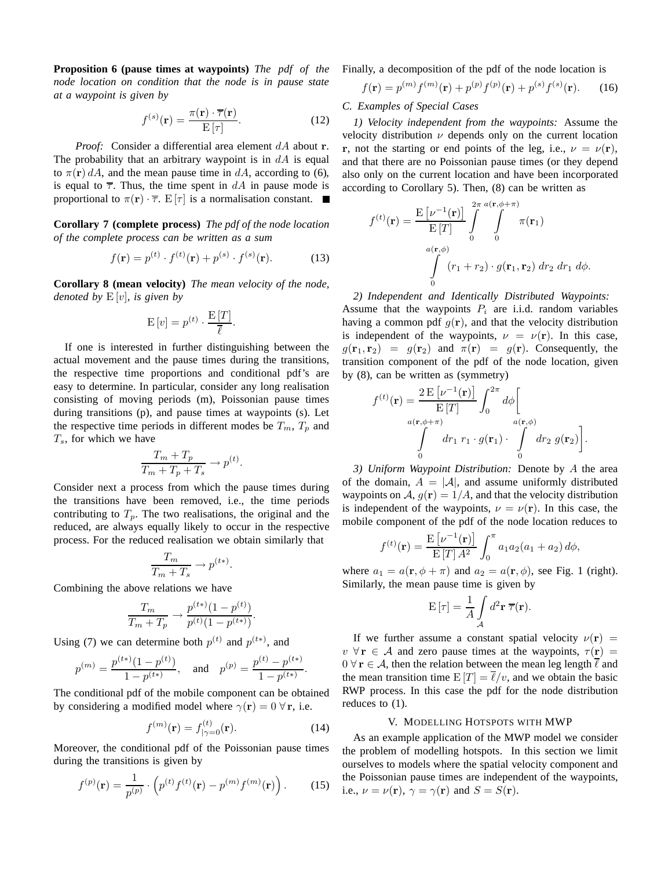**Proposition 6 (pause times at waypoints)** *The pdf of the node location on condition that the node is in pause state at a waypoint is given by*

$$
f^{(s)}(\mathbf{r}) = \frac{\pi(\mathbf{r}) \cdot \overline{\tau}(\mathbf{r})}{\mathrm{E}[\tau]}.
$$
 (12)

*Proof:* Consider a differential area element dA about **r**. The probability that an arbitrary waypoint is in  $dA$  is equal to  $\pi(\mathbf{r})$  dA, and the mean pause time in dA, according to (6), is equal to  $\overline{\tau}$ . Thus, the time spent in dA in pause mode is proportional to  $\pi(\mathbf{r}) \cdot \overline{\tau}$ . E  $[\tau]$  is a normalisation constant.

**Corollary 7 (complete process)** *The pdf of the node location of the complete process can be written as a sum*

$$
f(\mathbf{r}) = p^{(t)} \cdot f^{(t)}(\mathbf{r}) + p^{(s)} \cdot f^{(s)}(\mathbf{r}).
$$
 (13)

**Corollary 8 (mean velocity)** *The mean velocity of the node, denoted by* E [v]*, is given by*

$$
\mathbf{E}\left[v\right] = p^{(t)} \cdot \frac{\mathbf{E}\left[T\right]}{\overline{\ell}}.
$$

If one is interested in further distinguishing between the actual movement and the pause times during the transitions, the respective time proportions and conditional pdf's are easy to determine. In particular, consider any long realisation consisting of moving periods (m), Poissonian pause times during transitions (p), and pause times at waypoints (s). Let the respective time periods in different modes be  $T_m$ ,  $T_p$  and  $T_s$ , for which we have

$$
\frac{T_m + T_p}{T_m + T_p + T_s} \to p^{(t)}
$$

.

Consider next a process from which the pause times during the transitions have been removed, i.e., the time periods contributing to  $T_p$ . The two realisations, the original and the reduced, are always equally likely to occur in the respective process. For the reduced realisation we obtain similarly that

$$
\frac{T_m}{T_m + T_s} \to p^{(t*)}.
$$

Combining the above relations we have

$$
\frac{T_m}{T_m + T_p} \to \frac{p^{(t*)}(1 - p^{(t)})}{p^{(t)}(1 - p^{(t*)})}.
$$

Using (7) we can determine both  $p^{(t)}$  and  $p^{(t*)}$ , and

$$
p^{(m)} = \frac{p^{(t*)}(1-p^{(t)})}{1-p^{(t*)}},
$$
 and  $p^{(p)} = \frac{p^{(t)} - p^{(t*)}}{1-p^{(t*)}}.$ 

The conditional pdf of the mobile component can be obtained by considering a modified model where  $\gamma(\mathbf{r})=0$   $\forall$  **r**, i.e.

$$
f^{(m)}(\mathbf{r}) = f_{|\gamma=0}^{(t)}(\mathbf{r}).
$$
 (14)

Moreover, the conditional pdf of the Poissonian pause times during the transitions is given by

$$
f^{(p)}(\mathbf{r}) = \frac{1}{p^{(p)}} \cdot \left( p^{(t)} f^{(t)}(\mathbf{r}) - p^{(m)} f^{(m)}(\mathbf{r}) \right). \tag{15}
$$

Finally, a decomposition of the pdf of the node location is

$$
f(\mathbf{r}) = p^{(m)} f^{(m)}(\mathbf{r}) + p^{(p)} f^{(p)}(\mathbf{r}) + p^{(s)} f^{(s)}(\mathbf{r}).
$$
 (16)

# *C. Examples of Special Cases*

*1) Velocity independent from the waypoints:* Assume the velocity distribution  $\nu$  depends only on the current location **r**, not the starting or end points of the leg, i.e.,  $\nu = \nu(\mathbf{r})$ , and that there are no Poissonian pause times (or they depend also only on the current location and have been incorporated according to Corollary 5). Then, (8) can be written as

$$
f^{(t)}(\mathbf{r}) = \frac{\mathrm{E}\left[\nu^{-1}(\mathbf{r})\right]}{\mathrm{E}\left[T\right]} \int\limits_{0}^{2\pi} \int\limits_{0}^{a(\mathbf{r},\phi+\pi)} \pi(\mathbf{r}_1)
$$

$$
\int\limits_{0}^{a(\mathbf{r},\phi)} (r_1+r_2) \cdot g(\mathbf{r}_1,\mathbf{r}_2) \, dr_2 \, dr_1 \, d\phi.
$$

*2) Independent and Identically Distributed Waypoints:* Assume that the waypoints  $P_i$  are i.i.d. random variables having a common pdf  $g(\mathbf{r})$ , and that the velocity distribution is independent of the waypoints,  $\nu = \nu(\mathbf{r})$ . In this case,  $g(\mathbf{r}_1, \mathbf{r}_2) = g(\mathbf{r}_2)$  and  $\pi(\mathbf{r}) = g(\mathbf{r})$ . Consequently, the transition component of the pdf of the node location, given by (8), can be written as (symmetry)

$$
f^{(t)}(\mathbf{r}) = \frac{2 \mathbf{E} \left[ \nu^{-1}(\mathbf{r}) \right]}{\mathbf{E} \left[ T \right]} \int_0^{2\pi} d\phi \Bigg[
$$
  
 
$$
a(\mathbf{r}, \phi + \pi)
$$
  
 
$$
\int_0^{4\pi} dr_1 \; r_1 \cdot g(\mathbf{r}_1) \cdot \int_0^{4\pi} dr_2 \; g(\mathbf{r}_2) \Bigg]
$$

.

*3) Uniform Waypoint Distribution:* Denote by A the area of the domain,  $A = |A|$ , and assume uniformly distributed waypoints on  $A$ ,  $g(\mathbf{r})=1/A$ , and that the velocity distribution is independent of the waypoints,  $\nu = \nu(\mathbf{r})$ . In this case, the mobile component of the pdf of the node location reduces to

$$
f^{(t)}(\mathbf{r}) = \frac{\mathrm{E}\left[\nu^{-1}(\mathbf{r})\right]}{\mathrm{E}\left[T\right]A^2} \int_0^\pi a_1 a_2(a_1 + a_2) \, d\phi,
$$

where  $a_1 = a(\mathbf{r}, \phi + \pi)$  and  $a_2 = a(\mathbf{r}, \phi)$ , see Fig. 1 (right). Similarly, the mean pause time is given by

$$
E[\tau] = \frac{1}{A} \int_{A} d^2 \mathbf{r} \ \overline{\tau}(\mathbf{r}).
$$

If we further assume a constant spatial velocity  $\nu(\mathbf{r})$  =  $v \forall r \in A$  and zero pause times at the waypoints,  $\tau(r)$  =  $0 \forall r \in A$ , then the relation between the mean leg length  $\bar{l}$  and the mean transition time  $E[T] = \overline{\ell}/v$ , and we obtain the basic RWP process. In this case the pdf for the node distribution reduces to (1).

## V. MODELLING HOTSPOTS WITH MWP

As an example application of the MWP model we consider the problem of modelling hotspots. In this section we limit ourselves to models where the spatial velocity component and the Poissonian pause times are independent of the waypoints, i.e.,  $\nu = \nu(\mathbf{r})$ ,  $\gamma = \gamma(\mathbf{r})$  and  $S = S(\mathbf{r})$ .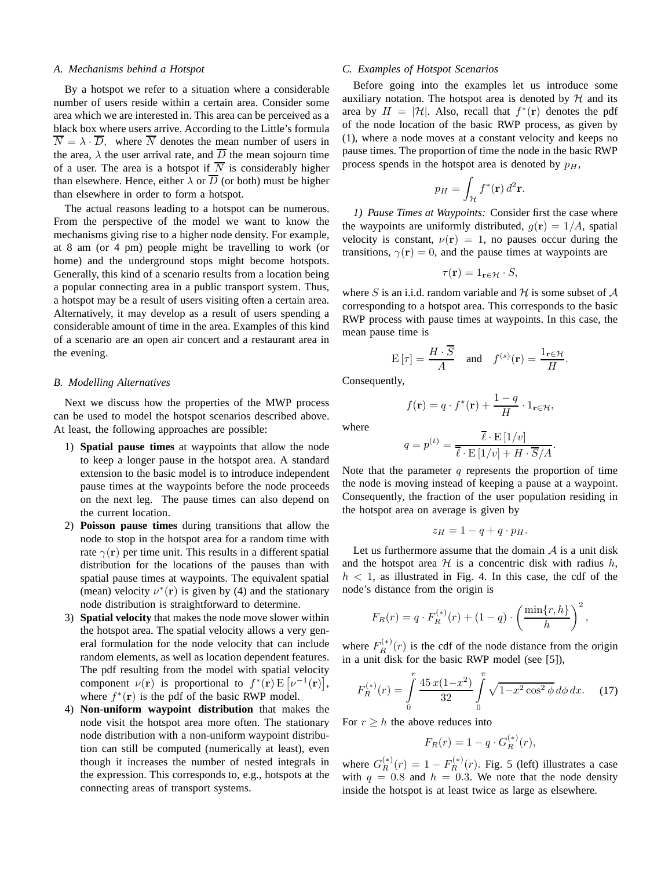#### *A. Mechanisms behind a Hotspot*

By a hotspot we refer to a situation where a considerable number of users reside within a certain area. Consider some area which we are interested in. This area can be perceived as a black box where users arrive. According to the Little's formula  $\overline{N} = \lambda \cdot \overline{D}$ , where  $\overline{N}$  denotes the mean number of users in the area,  $\lambda$  the user arrival rate, and  $\overline{D}$  the mean sojourn time of a user. The area is a hotspot if  $\overline{N}$  is considerably higher than elsewhere. Hence, either  $\lambda$  or  $\overline{D}$  (or both) must be higher than elsewhere in order to form a hotspot.

The actual reasons leading to a hotspot can be numerous. From the perspective of the model we want to know the mechanisms giving rise to a higher node density. For example, at 8 am (or 4 pm) people might be travelling to work (or home) and the underground stops might become hotspots. Generally, this kind of a scenario results from a location being a popular connecting area in a public transport system. Thus, a hotspot may be a result of users visiting often a certain area. Alternatively, it may develop as a result of users spending a considerable amount of time in the area. Examples of this kind of a scenario are an open air concert and a restaurant area in the evening.

## *B. Modelling Alternatives*

Next we discuss how the properties of the MWP process can be used to model the hotspot scenarios described above. At least, the following approaches are possible:

- 1) **Spatial pause times** at waypoints that allow the node to keep a longer pause in the hotspot area. A standard extension to the basic model is to introduce independent pause times at the waypoints before the node proceeds on the next leg. The pause times can also depend on the current location.
- 2) **Poisson pause times** during transitions that allow the node to stop in the hotspot area for a random time with rate  $\gamma(\mathbf{r})$  per time unit. This results in a different spatial distribution for the locations of the pauses than with spatial pause times at waypoints. The equivalent spatial (mean) velocity  $\nu^*(\mathbf{r})$  is given by (4) and the stationary node distribution is straightforward to determine.
- 3) **Spatial velocity** that makes the node move slower within the hotspot area. The spatial velocity allows a very general formulation for the node velocity that can include random elements, as well as location dependent features. The pdf resulting from the model with spatial velocity component  $\nu(\mathbf{r})$  is proportional to  $f^*(\mathbf{r}) \to [\nu^{-1}(\mathbf{r})],$ where  $f^*(\mathbf{r})$  is the pdf of the basic RWP model.
- 4) **Non-uniform waypoint distribution** that makes the node visit the hotspot area more often. The stationary node distribution with a non-uniform waypoint distribution can still be computed (numerically at least), even though it increases the number of nested integrals in the expression. This corresponds to, e.g., hotspots at the connecting areas of transport systems.

#### *C. Examples of Hotspot Scenarios*

Before going into the examples let us introduce some auxiliary notation. The hotspot area is denoted by  $H$  and its area by  $H = |\mathcal{H}|$ . Also, recall that  $f^*(\mathbf{r})$  denotes the pdf of the node location of the basic RWP process, as given by (1), where a node moves at a constant velocity and keeps no pause times. The proportion of time the node in the basic RWP process spends in the hotspot area is denoted by  $p<sub>H</sub>$ ,

$$
p_H = \int_{\mathcal{H}} f^*(\mathbf{r}) d^2 \mathbf{r}.
$$

*1) Pause Times at Waypoints:* Consider first the case where the waypoints are uniformly distributed,  $g(\mathbf{r})=1/A$ , spatial velocity is constant,  $\nu(\mathbf{r})=1$ , no pauses occur during the transitions,  $\gamma(\mathbf{r})=0$ , and the pause times at waypoints are

$$
\tau(\mathbf{r}) = 1_{\mathbf{r} \in \mathcal{H}} \cdot S,
$$

where S is an i.i.d. random variable and H is some subset of  $A$ corresponding to a hotspot area. This corresponds to the basic RWP process with pause times at waypoints. In this case, the mean pause time is

$$
E[\tau] = \frac{H \cdot \overline{S}}{A}
$$
 and  $f^{(s)}(\mathbf{r}) = \frac{\mathbb{1}_{\mathbf{r} \in \mathcal{H}}}{H}$ .

Consequently,

$$
f(\mathbf{r}) = q \cdot f^*(\mathbf{r}) + \frac{1-q}{H} \cdot 1_{\mathbf{r} \in \mathcal{H}},
$$

where

$$
q = p^{(t)} = \frac{\overline{\ell} \cdot \mathrm{E} [1/v]}{\overline{\ell} \cdot \mathrm{E} [1/v] + H \cdot \overline{S}/A}.
$$

Note that the parameter  $q$  represents the proportion of time the node is moving instead of keeping a pause at a waypoint. Consequently, the fraction of the user population residing in the hotspot area on average is given by

$$
z_H = 1 - q + q \cdot p_H.
$$

Let us furthermore assume that the domain  $A$  is a unit disk and the hotspot area  $H$  is a concentric disk with radius  $h$ ,  $h < 1$ , as illustrated in Fig. 4. In this case, the cdf of the node's distance from the origin is

$$
F_R(r) = q \cdot F_R^{(*)}(r) + (1 - q) \cdot \left(\frac{\min\{r, h\}}{h}\right)^2,
$$

where  $F_R^{(*)}(r)$  is the cdf of the node distance from the origin in a unit disk for the basic RWP model (see [5]),

$$
F_R^{(*)}(r) = \int_0^r \frac{45 x (1 - x^2)}{32} \int_0^{\pi} \sqrt{1 - x^2 \cos^2 \phi} \, d\phi \, dx. \tag{17}
$$

For  $r \geq h$  the above reduces into

$$
F_R(r) = 1 - q \cdot G_R^{(*)}(r),
$$

where  $G_R^{(*)}(r) = 1 - F_R^{(*)}(r)$ . Fig. 5 (left) illustrates a case with  $q = 0.8$  and  $h = 0.3$ . We note that the node density inside the hotspot is at least twice as large as elsewhere.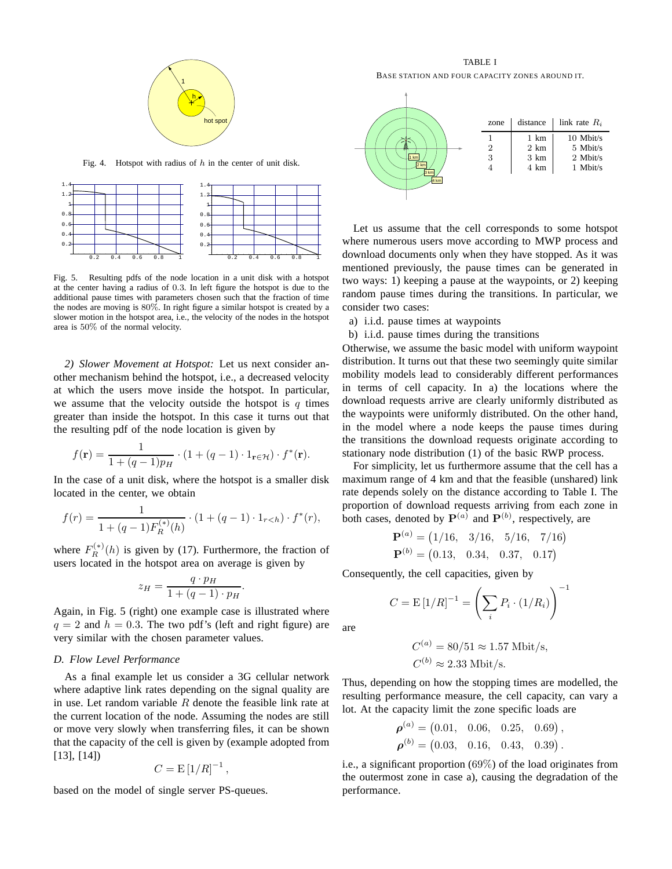

Fig. 4. Hotspot with radius of  $h$  in the center of unit disk.



Fig. 5. Resulting pdfs of the node location in a unit disk with a hotspot at the center having a radius of 0.3. In left figure the hotspot is due to the additional pause times with parameters chosen such that the fraction of time the nodes are moving is 80%. In right figure a similar hotspot is created by a slower motion in the hotspot area, i.e., the velocity of the nodes in the hotspot area is 50% of the normal velocity.

*2) Slower Movement at Hotspot:* Let us next consider another mechanism behind the hotspot, i.e., a decreased velocity at which the users move inside the hotspot. In particular, we assume that the velocity outside the hotspot is  $q$  times greater than inside the hotspot. In this case it turns out that the resulting pdf of the node location is given by

$$
f(\mathbf{r}) = \frac{1}{1 + (q-1)p_H} \cdot (1 + (q-1) \cdot 1_{\mathbf{r} \in \mathcal{H}}) \cdot f^*(\mathbf{r}).
$$

In the case of a unit disk, where the hotspot is a smaller disk located in the center, we obtain

$$
f(r) = \frac{1}{1 + (q - 1)F_R^{(*)}(h)} \cdot (1 + (q - 1) \cdot 1_{r < h}) \cdot f^*(r),
$$

where  $F_R^{(*)}(h)$  is given by (17). Furthermore, the fraction of users located in the hotspot area on average is given by

$$
z_H = \frac{q \cdot p_H}{1 + (q - 1) \cdot p_H}.
$$

Again, in Fig. 5 (right) one example case is illustrated where  $q = 2$  and  $h = 0.3$ . The two pdf's (left and right figure) are very similar with the chosen parameter values.

#### *D. Flow Level Performance*

As a final example let us consider a 3G cellular network where adaptive link rates depending on the signal quality are in use. Let random variable  $R$  denote the feasible link rate at the current location of the node. Assuming the nodes are still or move very slowly when transferring files, it can be shown that the capacity of the cell is given by (example adopted from [13], [14])

$$
C = \mathrm{E}\left[1/R\right]^{-1},
$$

based on the model of single server PS-queues.

TABLE I BASE STATION AND FOUR CAPACITY ZONES AROUND IT.



Let us assume that the cell corresponds to some hotspot where numerous users move according to MWP process and download documents only when they have stopped. As it was mentioned previously, the pause times can be generated in two ways: 1) keeping a pause at the waypoints, or 2) keeping random pause times during the transitions. In particular, we consider two cases:

- a) i.i.d. pause times at waypoints
- b) i.i.d. pause times during the transitions

Otherwise, we assume the basic model with uniform waypoint distribution. It turns out that these two seemingly quite similar mobility models lead to considerably different performances in terms of cell capacity. In a) the locations where the download requests arrive are clearly uniformly distributed as the waypoints were uniformly distributed. On the other hand, in the model where a node keeps the pause times during the transitions the download requests originate according to stationary node distribution (1) of the basic RWP process.

For simplicity, let us furthermore assume that the cell has a maximum range of 4 km and that the feasible (unshared) link rate depends solely on the distance according to Table I. The proportion of download requests arriving from each zone in both cases, denoted by  $P^{(a)}$  and  $P^{(b)}$ , respectively, are

$$
\mathbf{P}^{(a)} = (1/16, 3/16, 5/16, 7/16)
$$
  

$$
\mathbf{P}^{(b)} = (0.13, 0.34, 0.37, 0.17)
$$

Consequently, the cell capacities, given by

$$
C = \mathrm{E}\left[1/R\right]^{-1} = \left(\sum_{i} P_{i} \cdot (1/R_{i})\right)^{-1}
$$

are

$$
C^{(a)} = 80/51 \approx 1.57 \text{ Mbit/s},
$$
  

$$
C^{(b)} \approx 2.33 \text{ Mbit/s}.
$$

Thus, depending on how the stopping times are modelled, the resulting performance measure, the cell capacity, can vary a lot. At the capacity limit the zone specific loads are

$$
\boldsymbol{\rho}^{(a)} = \begin{pmatrix} 0.01, & 0.06, & 0.25, & 0.69 \end{pmatrix}, \boldsymbol{\rho}^{(b)} = \begin{pmatrix} 0.03, & 0.16, & 0.43, & 0.39 \end{pmatrix}.
$$

i.e., a significant proportion (69%) of the load originates from the outermost zone in case a), causing the degradation of the performance.